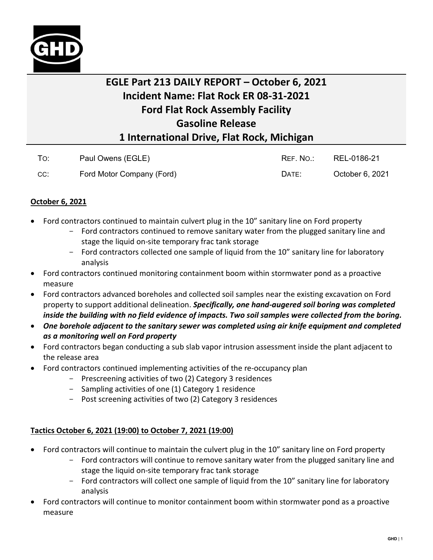

## **EGLE Part 213 DAILY REPORT – October 6, 2021 Incident Name: Flat Rock ER 08-31-2021 Ford Flat Rock Assembly Facility Gasoline Release 1 International Drive, Flat Rock, Michigan**

| To: | Paul Owens (EGLE)         | REF. NO.: | REL-0186-21     |
|-----|---------------------------|-----------|-----------------|
| CC: | Ford Motor Company (Ford) | DATE:     | October 6, 2021 |

## **October 6, 2021**

- Ford contractors continued to maintain culvert plug in the 10" sanitary line on Ford property
	- Ford contractors continued to remove sanitary water from the plugged sanitary line and stage the liquid on-site temporary frac tank storage
	- Ford contractors collected one sample of liquid from the 10" sanitary line for laboratory analysis
- Ford contractors continued monitoring containment boom within stormwater pond as a proactive measure
- Ford contractors advanced boreholes and collected soil samples near the existing excavation on Ford property to support additional delineation. *Specifically, one hand-augered soil boring was completed inside the building with no field evidence of impacts. Two soil samples were collected from the boring.*
- *One borehole adjacent to the sanitary sewer was completed using air knife equipment and completed as a monitoring well on Ford property*
- Ford contractors began conducting a sub slab vapor intrusion assessment inside the plant adjacent to the release area
- Ford contractors continued implementing activities of the re-occupancy plan
	- Prescreening activities of two (2) Category 3 residences
	- Sampling activities of one (1) Category 1 residence
	- Post screening activities of two (2) Category 3 residences

## **Tactics October 6, 2021 (19:00) to October 7, 2021 (19:00)**

- Ford contractors will continue to maintain the culvert plug in the 10" sanitary line on Ford property
	- Ford contractors will continue to remove sanitary water from the plugged sanitary line and stage the liquid on-site temporary frac tank storage
	- Ford contractors will collect one sample of liquid from the 10" sanitary line for laboratory analysis
- Ford contractors will continue to monitor containment boom within stormwater pond as a proactive measure